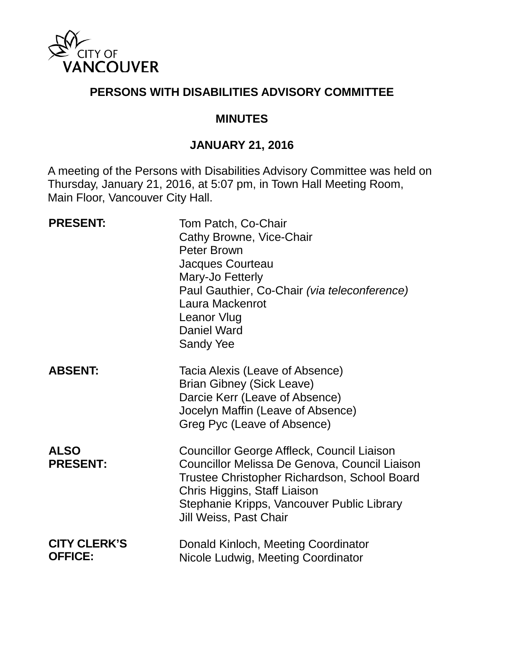

### **PERSONS WITH DISABILITIES ADVISORY COMMITTEE**

#### **MINUTES**

### **JANUARY 21, 2016**

A meeting of the Persons with Disabilities Advisory Committee was held on Thursday, January 21, 2016, at 5:07 pm, in Town Hall Meeting Room, Main Floor, Vancouver City Hall.

| <b>PRESENT:</b>                       | Tom Patch, Co-Chair<br>Cathy Browne, Vice-Chair<br>Peter Brown<br>Jacques Courteau<br>Mary-Jo Fetterly<br>Paul Gauthier, Co-Chair (via teleconference)<br>Laura Mackenrot<br>Leanor Vlug<br>Daniel Ward<br><b>Sandy Yee</b>                         |
|---------------------------------------|-----------------------------------------------------------------------------------------------------------------------------------------------------------------------------------------------------------------------------------------------------|
| <b>ABSENT:</b>                        | Tacia Alexis (Leave of Absence)<br><b>Brian Gibney (Sick Leave)</b><br>Darcie Kerr (Leave of Absence)<br>Jocelyn Maffin (Leave of Absence)<br>Greg Pyc (Leave of Absence)                                                                           |
| <b>ALSO</b><br><b>PRESENT:</b>        | Councillor George Affleck, Council Liaison<br>Councillor Melissa De Genova, Council Liaison<br>Trustee Christopher Richardson, School Board<br>Chris Higgins, Staff Liaison<br>Stephanie Kripps, Vancouver Public Library<br>Jill Weiss, Past Chair |
| <b>CITY CLERK'S</b><br><b>OFFICE:</b> | Donald Kinloch, Meeting Coordinator<br>Nicole Ludwig, Meeting Coordinator                                                                                                                                                                           |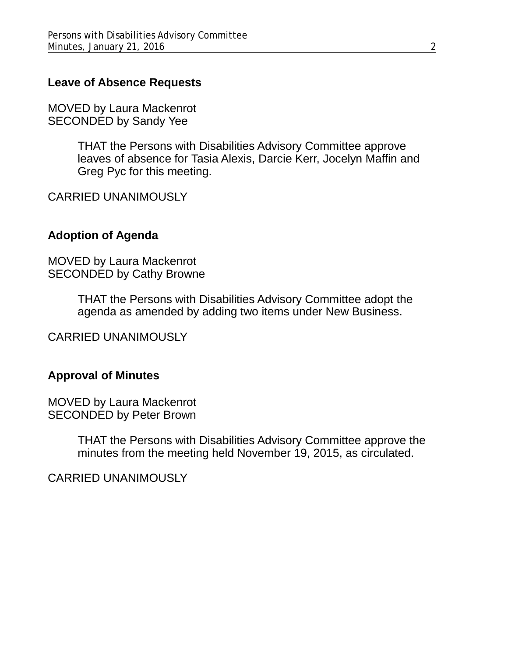### **Leave of Absence Requests**

MOVED by Laura Mackenrot SECONDED by Sandy Yee

> THAT the Persons with Disabilities Advisory Committee approve leaves of absence for Tasia Alexis, Darcie Kerr, Jocelyn Maffin and Greg Pyc for this meeting.

CARRIED UNANIMOUSLY

#### **Adoption of Agenda**

MOVED by Laura Mackenrot SECONDED by Cathy Browne

> THAT the Persons with Disabilities Advisory Committee adopt the agenda as amended by adding two items under New Business.

CARRIED UNANIMOUSLY

#### **Approval of Minutes**

MOVED by Laura Mackenrot SECONDED by Peter Brown

> THAT the Persons with Disabilities Advisory Committee approve the minutes from the meeting held November 19, 2015, as circulated.

CARRIED UNANIMOUSLY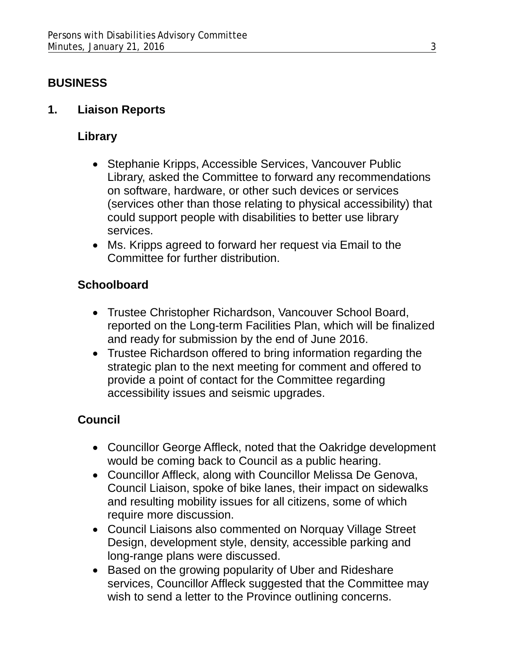## **BUSINESS**

**1. Liaison Reports**

## **Library**

- Stephanie Kripps, Accessible Services, Vancouver Public Library, asked the Committee to forward any recommendations on software, hardware, or other such devices or services (services other than those relating to physical accessibility) that could support people with disabilities to better use library services.
- Ms. Kripps agreed to forward her request via Email to the Committee for further distribution.

# **Schoolboard**

- Trustee Christopher Richardson, Vancouver School Board, reported on the Long-term Facilities Plan, which will be finalized and ready for submission by the end of June 2016.
- Trustee Richardson offered to bring information regarding the strategic plan to the next meeting for comment and offered to provide a point of contact for the Committee regarding accessibility issues and seismic upgrades.

# **Council**

- Councillor George Affleck, noted that the Oakridge development would be coming back to Council as a public hearing.
- Councillor Affleck, along with Councillor Melissa De Genova, Council Liaison, spoke of bike lanes, their impact on sidewalks and resulting mobility issues for all citizens, some of which require more discussion.
- Council Liaisons also commented on Norquay Village Street Design, development style, density, accessible parking and long-range plans were discussed.
- Based on the growing popularity of Uber and Rideshare services, Councillor Affleck suggested that the Committee may wish to send a letter to the Province outlining concerns.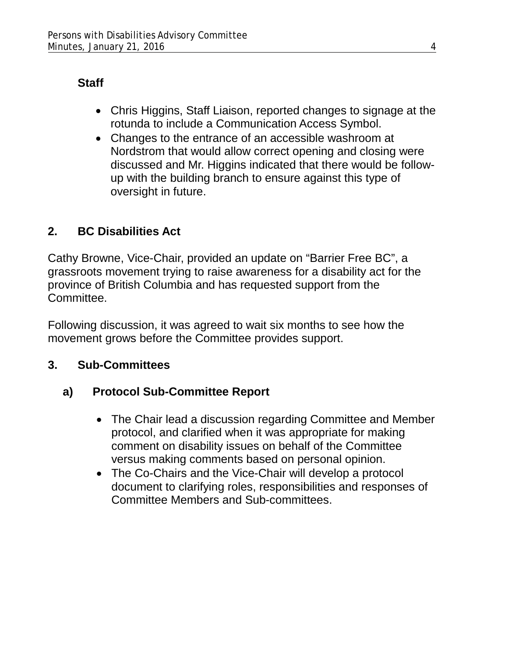# **Staff**

- Chris Higgins, Staff Liaison, reported changes to signage at the rotunda to include a Communication Access Symbol.
- Changes to the entrance of an accessible washroom at Nordstrom that would allow correct opening and closing were discussed and Mr. Higgins indicated that there would be followup with the building branch to ensure against this type of oversight in future.

# **2. BC Disabilities Act**

Cathy Browne, Vice-Chair, provided an update on "Barrier Free BC", a grassroots movement trying to raise awareness for a disability act for the province of British Columbia and has requested support from the Committee.

Following discussion, it was agreed to wait six months to see how the movement grows before the Committee provides support.

# **3. Sub-Committees**

# **a) Protocol Sub-Committee Report**

- The Chair lead a discussion regarding Committee and Member protocol, and clarified when it was appropriate for making comment on disability issues on behalf of the Committee versus making comments based on personal opinion.
- The Co-Chairs and the Vice-Chair will develop a protocol document to clarifying roles, responsibilities and responses of Committee Members and Sub-committees.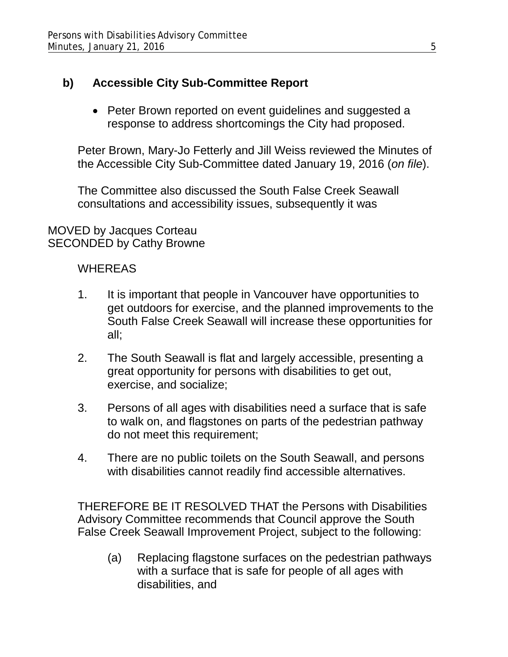## **b) Accessible City Sub-Committee Report**

• Peter Brown reported on event guidelines and suggested a response to address shortcomings the City had proposed.

Peter Brown, Mary-Jo Fetterly and Jill Weiss reviewed the Minutes of the Accessible City Sub-Committee dated January 19, 2016 (*on file*).

The Committee also discussed the South False Creek Seawall consultations and accessibility issues, subsequently it was

MOVED by Jacques Corteau SECONDED by Cathy Browne

### **WHEREAS**

- 1. It is important that people in Vancouver have opportunities to get outdoors for exercise, and the planned improvements to the South False Creek Seawall will increase these opportunities for all;
- 2. The South Seawall is flat and largely accessible, presenting a great opportunity for persons with disabilities to get out, exercise, and socialize;
- 3. Persons of all ages with disabilities need a surface that is safe to walk on, and flagstones on parts of the pedestrian pathway do not meet this requirement;
- 4. There are no public toilets on the South Seawall, and persons with disabilities cannot readily find accessible alternatives.

THEREFORE BE IT RESOLVED THAT the Persons with Disabilities Advisory Committee recommends that Council approve the South False Creek Seawall Improvement Project, subject to the following:

(a) Replacing flagstone surfaces on the pedestrian pathways with a surface that is safe for people of all ages with disabilities, and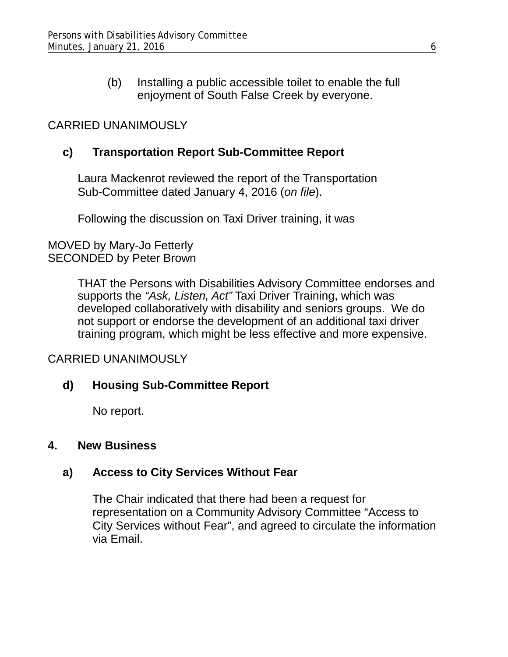(b) Installing a public accessible toilet to enable the full enjoyment of South False Creek by everyone.

### CARRIED UNANIMOUSLY

### **c) Transportation Report Sub-Committee Report**

Laura Mackenrot reviewed the report of the Transportation Sub-Committee dated January 4, 2016 (*on file*).

Following the discussion on Taxi Driver training, it was

#### MOVED by Mary-Jo Fetterly SECONDED by Peter Brown

THAT the Persons with Disabilities Advisory Committee endorses and supports the *"Ask, Listen, Act"* Taxi Driver Training, which was developed collaboratively with disability and seniors groups. We do not support or endorse the development of an additional taxi driver training program, which might be less effective and more expensive.

### CARRIED UNANIMOUSLY

### **d) Housing Sub-Committee Report**

No report.

#### **4. New Business**

### **a) Access to City Services Without Fear**

The Chair indicated that there had been a request for representation on a Community Advisory Committee "Access to City Services without Fear", and agreed to circulate the information via Email.